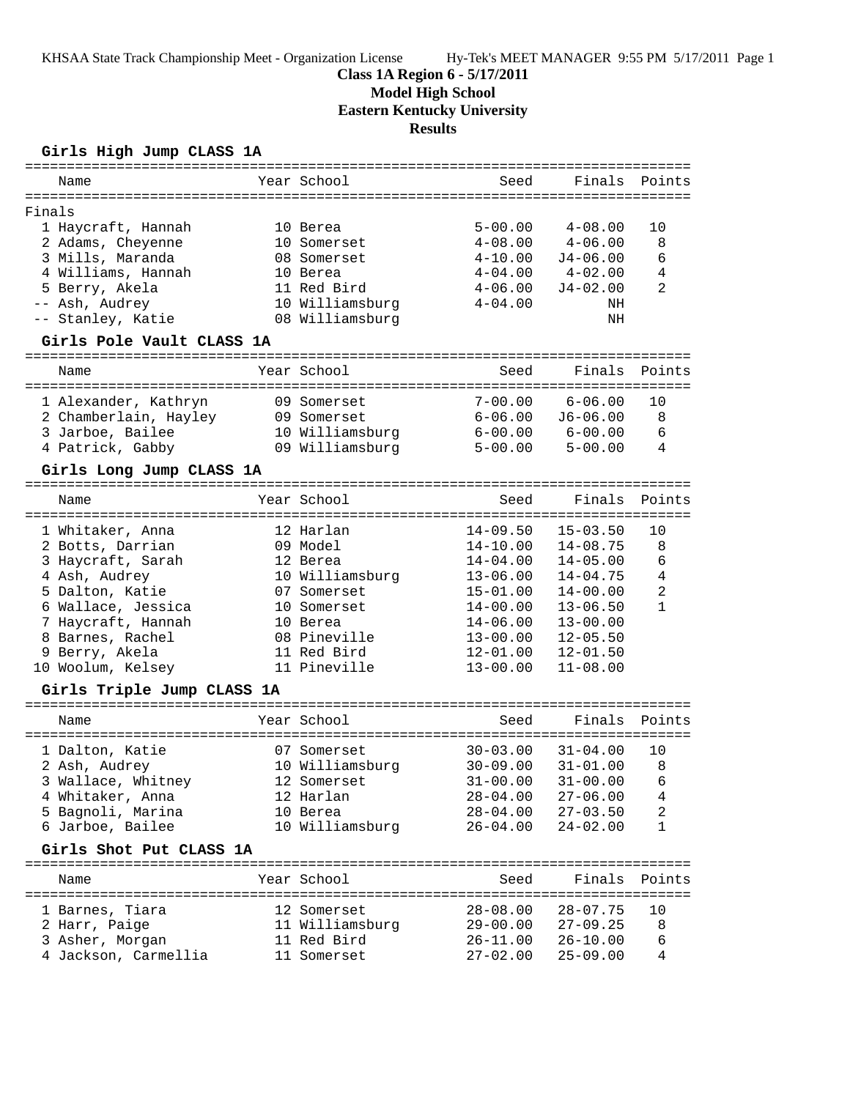KHSAA State Track Championship Meet - Organization License Hy-Tek's MEET MANAGER 9:55 PM 5/17/2011 Page 1

# **Class 1A Region 6 - 5/17/2011**

**Model High School**

**Eastern Kentucky University**

**Results**

## **Girls High Jump CLASS 1A**

|                         | Name                                    |  | Year School             | Seed                       | Finals                     | Points               |  |  |
|-------------------------|-----------------------------------------|--|-------------------------|----------------------------|----------------------------|----------------------|--|--|
|                         |                                         |  |                         |                            |                            |                      |  |  |
| Finals                  | 1 Haycraft, Hannah<br>2 Adams, Cheyenne |  | 10 Berea<br>10 Somerset | $5 - 00.00$<br>$4 - 08.00$ | $4 - 08.00$<br>$4 - 06.00$ | 10<br>8              |  |  |
|                         | 3 Mills, Maranda                        |  | 08 Somerset             | $4 - 10.00$                | $J4 - 06.00$               | 6                    |  |  |
|                         | 4 Williams, Hannah                      |  | 10 Berea                | $4 - 04.00$                | $4 - 02.00$                | 4                    |  |  |
|                         | 5 Berry, Akela                          |  | 11 Red Bird             | $4 - 06.00$                | $J4 - 02.00$               | 2                    |  |  |
|                         | -- Ash, Audrey                          |  | 10 Williamsburg         | $4 - 04.00$                | ΝH                         |                      |  |  |
|                         | -- Stanley, Katie                       |  | 08 Williamsburg         |                            | ΝH                         |                      |  |  |
|                         | Girls Pole Vault CLASS 1A               |  |                         |                            |                            |                      |  |  |
|                         | Name                                    |  | Year School             | Seed                       | Finals                     | Points               |  |  |
|                         | 1 Alexander, Kathryn                    |  | 09 Somerset             | $7 - 00.00$                | $6 - 06.00$                | 10                   |  |  |
|                         | 2 Chamberlain, Hayley                   |  | 09 Somerset             | $6 - 06.00$                | $J6 - 06.00$               | 8                    |  |  |
|                         | 3 Jarboe, Bailee                        |  | 10 Williamsburg         | $6 - 00.00$                | $6 - 00.00$                | 6                    |  |  |
|                         | 4 Patrick, Gabby                        |  | 09 Williamsburg         | $5 - 00.00$                | $5 - 00.00$                | 4                    |  |  |
|                         | Girls Long Jump CLASS 1A                |  |                         |                            |                            |                      |  |  |
|                         |                                         |  |                         |                            |                            |                      |  |  |
|                         | Name                                    |  | Year School             | Seed                       | Finals                     | Points<br>========== |  |  |
|                         | 1 Whitaker, Anna                        |  | 12 Harlan               | $14 - 09.50$               | $15 - 03.50$               | 10                   |  |  |
|                         | 2 Botts, Darrian                        |  | 09 Model                | $14 - 10.00$               | $14 - 08.75$               | 8                    |  |  |
|                         | 3 Haycraft, Sarah                       |  | 12 Berea                | $14 - 04.00$               | $14 - 05.00$               | 6                    |  |  |
|                         | 4 Ash, Audrey                           |  | 10 Williamsburg         | $13 - 06.00$               | $14 - 04.75$               | 4                    |  |  |
|                         | 5 Dalton, Katie                         |  | 07 Somerset             | $15 - 01.00$               | $14 - 00.00$               | $\overline{2}$       |  |  |
|                         | 6 Wallace, Jessica                      |  | 10 Somerset             | $14 - 00.00$               | $13 - 06.50$               | $\mathbf{1}$         |  |  |
|                         | 7 Haycraft, Hannah                      |  | 10 Berea                | $14 - 06.00$               | $13 - 00.00$               |                      |  |  |
|                         | 8 Barnes, Rachel                        |  | 08 Pineville            | $13 - 00.00$               | $12 - 05.50$               |                      |  |  |
|                         | 9 Berry, Akela                          |  | 11 Red Bird             | $12 - 01.00$               | $12 - 01.50$               |                      |  |  |
|                         | 10 Woolum, Kelsey                       |  | 11 Pineville            | $13 - 00.00$               | $11 - 08.00$               |                      |  |  |
|                         | Girls Triple Jump CLASS 1A              |  |                         |                            |                            |                      |  |  |
|                         |                                         |  |                         |                            |                            |                      |  |  |
|                         | Name                                    |  | Year School             | Seed                       | Finals                     | Points               |  |  |
|                         | 1 Dalton, Katie                         |  | 07 Somerset             | $30 - 03.00$               | $31 - 04.00$               | 10                   |  |  |
|                         | 2 Ash, Audrey                           |  | 10 Williamsburg         | $30 - 09.00$               | $31 - 01.00$               | 8                    |  |  |
|                         | 3 Wallace, Whitney                      |  | 12 Somerset             | 31-00.00                   | $31 - 00.00$               | - 6                  |  |  |
|                         | 4 Whitaker, Anna                        |  | 12 Harlan               | $28 - 04.00$               | $27 - 06.00$               | 4                    |  |  |
|                         | 5 Bagnoli, Marina                       |  | 10 Berea                | $28 - 04.00$               | $27 - 03.50$               | 2                    |  |  |
|                         | 6 Jarboe, Bailee                        |  | 10 Williamsburg         | $26 - 04.00$               | $24 - 02.00$               | 1                    |  |  |
| Girls Shot Put CLASS 1A |                                         |  |                         |                            |                            |                      |  |  |
|                         | Name                                    |  | Year School             | Seed                       | Finals                     | Points               |  |  |
|                         | 1 Barnes, Tiara                         |  | 12 Somerset             | $28 - 08.00$               | $28 - 07.75$               | 10                   |  |  |
|                         |                                         |  |                         |                            |                            |                      |  |  |
|                         | 2 Harr, Paige                           |  | 11 Williamsburg         | $29 - 00.00$               | $27 - 09.25$               | 8                    |  |  |
|                         | 3 Asher, Morgan                         |  | 11 Red Bird             | $26 - 11.00$               | $26 - 10.00$               | 6                    |  |  |
|                         | 4 Jackson, Carmellia                    |  | 11 Somerset             | $27 - 02.00$               | $25 - 09.00$               | 4                    |  |  |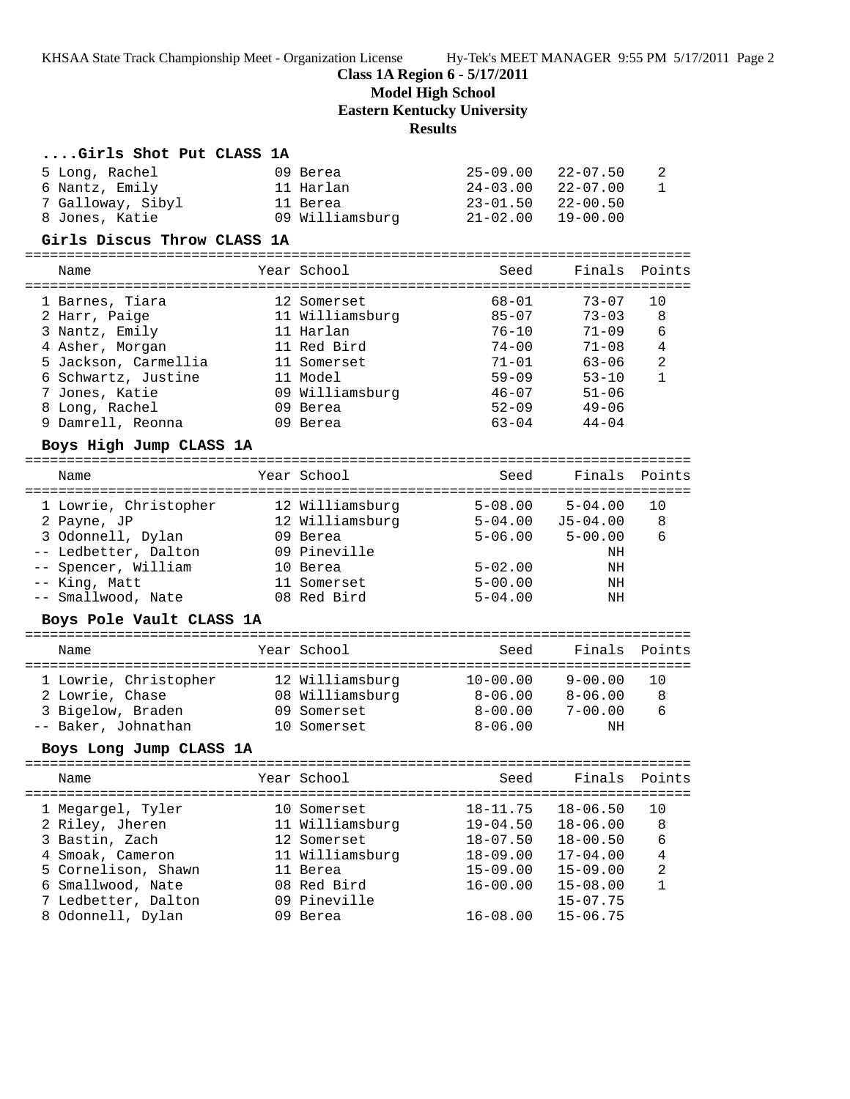KHSAA State Track Championship Meet - Organization License Hy-Tek's MEET MANAGER 9:55 PM 5/17/2011 Page 2

**Class 1A Region 6 - 5/17/2011**

**Model High School**

**Eastern Kentucky University**

# **Results**

| Girls Shot Put CLASS 1A                                                                                                                                                                                  |                                                                                                                                  |                                                                                                                   |                                                                                                                              |                                                                  |
|----------------------------------------------------------------------------------------------------------------------------------------------------------------------------------------------------------|----------------------------------------------------------------------------------------------------------------------------------|-------------------------------------------------------------------------------------------------------------------|------------------------------------------------------------------------------------------------------------------------------|------------------------------------------------------------------|
| 5 Long, Rachel<br>6 Nantz, Emily<br>7 Galloway, Sibyl<br>8 Jones, Katie                                                                                                                                  | 09 Berea<br>11 Harlan<br>11 Berea<br>09 Williamsburg                                                                             | $25 - 09.00$<br>$24 - 03.00$<br>$23 - 01.50$<br>$21 - 02.00$                                                      | $22 - 07.50$<br>$22 - 07.00$<br>$22 - 00.50$<br>$19 - 00.00$                                                                 | 2<br>1                                                           |
| Girls Discus Throw CLASS 1A                                                                                                                                                                              |                                                                                                                                  |                                                                                                                   |                                                                                                                              |                                                                  |
| Name                                                                                                                                                                                                     | Year School                                                                                                                      | Seed                                                                                                              | Finals                                                                                                                       | Points                                                           |
| 1 Barnes, Tiara<br>2 Harr, Paige<br>3 Nantz, Emily<br>4 Asher, Morgan<br>5 Jackson, Carmellia<br>6 Schwartz, Justine<br>7 Jones, Katie<br>8 Long, Rachel<br>9 Damrell, Reonna<br>Boys High Jump CLASS 1A | 12 Somerset<br>11 Williamsburg<br>11 Harlan<br>11 Red Bird<br>11 Somerset<br>11 Model<br>09 Williamsburg<br>09 Berea<br>09 Berea | $68 - 01$<br>$85 - 07$<br>$76 - 10$<br>$74 - 00$<br>$71 - 01$<br>$59 - 09$<br>$46 - 07$<br>$52 - 09$<br>$63 - 04$ | $73 - 07$<br>$73 - 03$<br>$71 - 09$<br>$71 - 08$<br>$63 - 06$<br>$53 - 10$<br>$51 - 06$<br>$49 - 06$<br>$44 - 04$            | 10<br>8<br>6<br>$\overline{4}$<br>$\overline{a}$<br>$\mathbf{1}$ |
| Name                                                                                                                                                                                                     | Year School                                                                                                                      | Seed                                                                                                              | Finals                                                                                                                       | Points                                                           |
| 1 Lowrie, Christopher<br>2 Payne, JP<br>3 Odonnell, Dylan<br>-- Ledbetter, Dalton<br>-- Spencer, William<br>-- King, Matt<br>-- Smallwood, Nate                                                          | 12 Williamsburg<br>12 Williamsburg<br>09 Berea<br>09 Pineville<br>10 Berea<br>11 Somerset<br>08 Red Bird                         | $5 - 08.00$<br>$5 - 06.00$<br>$5 - 02.00$<br>$5 - 00.00$<br>$5 - 04.00$                                           | $5 - 04.00$<br>$5-04.00$ $J5-04.00$<br>$5 - 00.00$<br>ΝH<br>ΝH<br>ΝH<br>ΝH                                                   | 10<br>8<br>6                                                     |
| Boys Pole Vault CLASS 1A                                                                                                                                                                                 |                                                                                                                                  |                                                                                                                   |                                                                                                                              |                                                                  |
| Name                                                                                                                                                                                                     | Year School                                                                                                                      | Seed                                                                                                              | Finals                                                                                                                       | Points                                                           |
| 1 Lowrie, Christopher<br>2 Lowrie, Chase<br>3 Bigelow, Braden<br>-- Baker, Johnathan                                                                                                                     | 12 Williamsburg<br>08 Williamsburg<br>09 Somerset<br>10 Somerset                                                                 | $10 - 00.00$<br>$8 - 00.00$<br>$8 - 06.00$                                                                        | $9 - 00.00$<br>$8-06.00$ $8-06.00$<br>$7 - 00.00$<br>ΝH                                                                      | 10<br>8<br>6                                                     |
| Boys Long Jump CLASS 1A                                                                                                                                                                                  |                                                                                                                                  |                                                                                                                   |                                                                                                                              |                                                                  |
| Name<br>------                                                                                                                                                                                           | Year School                                                                                                                      | Seed                                                                                                              | Finals                                                                                                                       | Points<br>-----                                                  |
| 1 Megargel, Tyler<br>2 Riley, Jheren<br>3 Bastin, Zach<br>4 Smoak, Cameron<br>5 Cornelison, Shawn<br>6 Smallwood, Nate<br>7 Ledbetter, Dalton<br>8 Odonnell, Dylan                                       | 10 Somerset<br>11 Williamsburg<br>12 Somerset<br>11 Williamsburg<br>11 Berea<br>08 Red Bird<br>09 Pineville<br>09 Berea          | $18 - 11.75$<br>$19 - 04.50$<br>$18 - 07.50$<br>$18 - 09.00$<br>$15 - 09.00$<br>$16 - 00.00$<br>$16 - 08.00$      | $18 - 06.50$<br>$18 - 06.00$<br>$18 - 00.50$<br>$17 - 04.00$<br>$15 - 09.00$<br>$15 - 08.00$<br>$15 - 07.75$<br>$15 - 06.75$ | 10<br>8<br>6<br>4<br>2<br>$\mathbf{1}$                           |